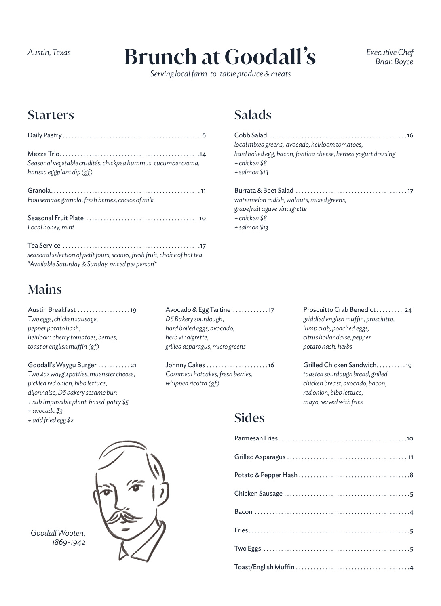# **Brunch at Goodall's** *Austin, Texas Executive Chef*

*Serving local farm-to-table produce & meats*

Salads

*+ chicken \$8 + salmon \$13* 

*+ chicken \$8 + salmon \$13*  *Brian Boyce*

### **Starters**

| Seasonal vegetable crudités, chickpea hummus, cucumber crema,<br>harissa eggplant dip (gf) |
|--------------------------------------------------------------------------------------------|
| Housemade granola, fresh berries, choice of milk                                           |
| Local honey, mint                                                                          |
|                                                                                            |

*seasonal selection of petit fours, scones, fresh fruit, choice of hot tea \*Available Saturday & Sunday, priced per person\**

## Mains

Austin Breakfast . . . . . . . . . . . . . . . . . 19 *Two eggs, chicken sausage, pepper potato hash, heirloom cherry tomatoes, berries, toast or english muffin (gf)*

Goodall's Waygu Burger . . . . . . . . . . 21 *Two 4oz waygu patties, muenster cheese, pickled red onion, bibb lettuce, dijonnaise, Dõ bakery sesame bun + sub Impossible plant-based patty \$5 + avocado \$3 + add fried egg \$2*

Avocado & Egg Tartine ............. 17 *Dõ Bakery sourdough, hard boiled eggs, avocado, herb vinaigrette, grilled asparagus, micro greens*

Johnny Cakes . . . . . . . . . . . . . . . . . . . . 16 *Cornmeal hotcakes, fresh berries, whipped ricotta (gf)*

Proscuitto Crab Benedict . . . . . . . . 24 *griddled english muffin, prosciutto, lump crab, poached eggs, citrus hollandaise, pepper potato hash, herbs*

Cobb Salad . . . . . . . . . . . . . . . . . . . . . . . . . . . . . . . . . . . . . . . . . . . . . . 16

Burrata & Beet Salad . . . . . . . . . . . . . . . . . . . . . . . . . . . . . . . . . . . . . 17

*hard boiled egg, bacon, fontina cheese, herbed yogurt dressing*

*local mixed greens, avocado, heirloom tomatoes,* 

*watermelon radish, walnuts, mixed greens,* 

*grapefruit agave vinaigrette*

Grilled Chicken Sandwich . . . . . . . . . 19 *toasted sourdough bread, grilled chicken breast, avocado, bacon, red onion, bibb lettuce, mayo, served with fries*

### **Sides**



*Goodall Wooten, 1869-1942*